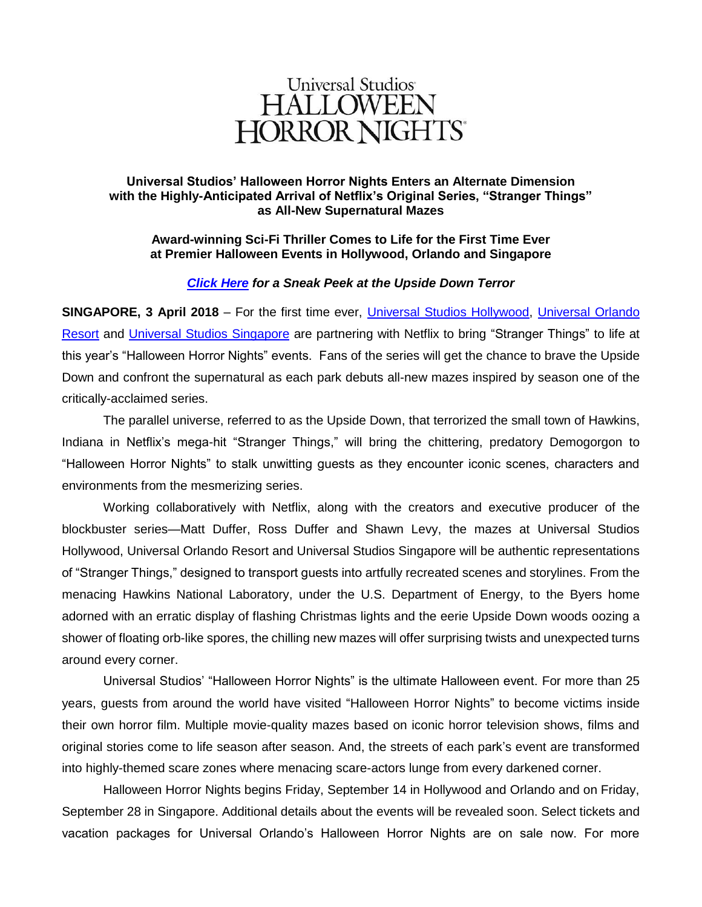

# **Universal Studios' Halloween Horror Nights Enters an Alternate Dimension with the Highly-Anticipated Arrival of Netflix's Original Series, "Stranger Things" as All-New Supernatural Mazes**

## **Award-winning Sci-Fi Thriller Comes to Life for the First Time Ever at Premier Halloween Events in Hollywood, Orlando and Singapore**

## *[Click Here](https://youtu.be/dm5XeN-Ooao) for a Sneak Peek at the Upside Down Terror*

**SINGAPORE, 3 April 2018** – For the first time ever, [Universal Studios Hollywood,](http://www.halloweenhorrornights.com/hollywood) [Universal Orlando](http://www.halloweenhorrornights.com/orlando/index.html?ref=)  [Resort](http://www.halloweenhorrornights.com/orlando/index.html?ref=) and [Universal Studios Singapore](http://www.halloweenhorrornights.com.sg/) are partnering with Netflix to bring "Stranger Things" to life at this year's "Halloween Horror Nights" events. Fans of the series will get the chance to brave the Upside Down and confront the supernatural as each park debuts all-new mazes inspired by season one of the critically-acclaimed series.

The parallel universe, referred to as the Upside Down, that terrorized the small town of Hawkins, Indiana in Netflix's mega-hit "Stranger Things," will bring the chittering, predatory Demogorgon to "Halloween Horror Nights" to stalk unwitting guests as they encounter iconic scenes, characters and environments from the mesmerizing series.

Working collaboratively with Netflix, along with the creators and executive producer of the blockbuster series—Matt Duffer, Ross Duffer and Shawn Levy, the mazes at Universal Studios Hollywood, Universal Orlando Resort and Universal Studios Singapore will be authentic representations of "Stranger Things," designed to transport guests into artfully recreated scenes and storylines. From the menacing Hawkins National Laboratory, under the U.S. Department of Energy, to the Byers home adorned with an erratic display of flashing Christmas lights and the eerie Upside Down woods oozing a shower of floating orb-like spores, the chilling new mazes will offer surprising twists and unexpected turns around every corner.

Universal Studios' "Halloween Horror Nights" is the ultimate Halloween event. For more than 25 years, guests from around the world have visited "Halloween Horror Nights" to become victims inside their own horror film. Multiple movie-quality mazes based on iconic horror television shows, films and original stories come to life season after season. And, the streets of each park's event are transformed into highly-themed scare zones where menacing scare-actors lunge from every darkened corner.

Halloween Horror Nights begins Friday, September 14 in Hollywood and Orlando and on Friday, September 28 in Singapore. Additional details about the events will be revealed soon. Select tickets and vacation packages for Universal Orlando's Halloween Horror Nights are on sale now. For more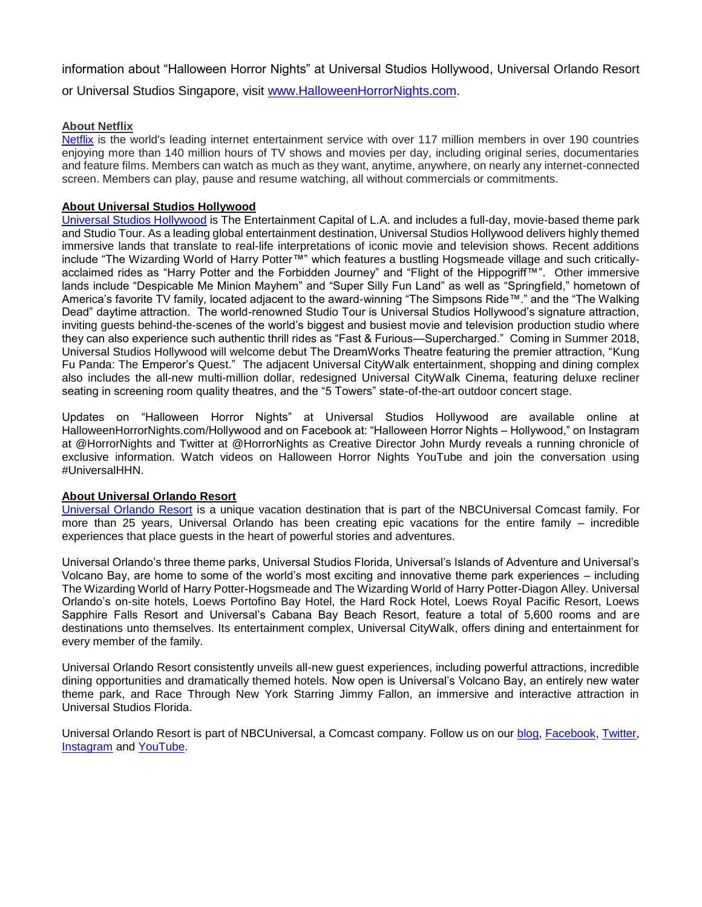information about "Halloween Horror Nights" at Universal Studios Hollywood, Universal Orlando Resort or Universal Studios Singapore, visit [www.HalloweenHorrorNights.com.](http://www.halloweenhorrornights.com/)

### **About Netflix**

[Netflix](https://www.netflix.com/) is the world's leading internet entertainment service with over 117 million members in over 190 countries enjoying more than 140 million hours of TV shows and movies per day, including original series, documentaries and feature films. Members can watch as much as they want, anytime, anywhere, on nearly any internet-connected screen. Members can play, pause and resume watching, all without commercials or commitments.

#### **About Universal Studios Hollywood**

[Universal Studios Hollywood](file:///C:/Users/702425899/AppData/Local/Microsoft/Windows/Temporary%20Internet%20Files/Content.Outlook/OK6MZF12/Universal%20Studios%20Hollywood) is The Entertainment Capital of L.A. and includes a full-day, movie-based theme park and Studio Tour. As a leading global entertainment destination, Universal Studios Hollywood delivers highly themed immersive lands that translate to real-life interpretations of iconic movie and television shows. Recent additions include "The Wizarding World of Harry Potter™" which features a bustling Hogsmeade village and such criticallyacclaimed rides as "Harry Potter and the Forbidden Journey" and "Flight of the Hippogriff™". Other immersive lands include "Despicable Me Minion Mayhem" and "Super Silly Fun Land" as well as "Springfield," hometown of America's favorite TV family, located adjacent to the award-winning "The Simpsons Ride™." and the "The Walking Dead" daytime attraction. The world-renowned Studio Tour is Universal Studios Hollywood's signature attraction, inviting guests behind-the-scenes of the world's biggest and busiest movie and television production studio where they can also experience such authentic thrill rides as "Fast & Furious—Supercharged." Coming in Summer 2018, Universal Studios Hollywood will welcome debut The DreamWorks Theatre featuring the premier attraction, "Kung Fu Panda: The Emperor's Quest." The adjacent Universal CityWalk entertainment, shopping and dining complex also includes the all-new multi-million dollar, redesigned Universal CityWalk Cinema, featuring deluxe recliner seating in screening room quality theatres, and the "5 Towers" state-of-the-art outdoor concert stage.

Updates on "Halloween Horror Nights" at Universal Studios Hollywood are available online at HalloweenHorrorNights.com/Hollywood and on Facebook at: "Halloween Horror Nights – Hollywood," on Instagram at @HorrorNights and Twitter at @HorrorNights as Creative Director John Murdy reveals a running chronicle of exclusive information. Watch videos on Halloween Horror Nights YouTube and join the conversation using #UniversalHHN.

#### **About Universal Orlando Resort**

[Universal Orlando Resort](http://www.halloweenhorrornights.com/orlando/index.html?ref=) is a unique vacation destination that is part of the NBCUniversal Comcast family. For more than 25 years, Universal Orlando has been creating epic vacations for the entire family – incredible experiences that place guests in the heart of powerful stories and adventures.

Universal Orlando's three theme parks, Universal Studios Florida, Universal's Islands of Adventure and Universal's Volcano Bay, are home to some of the world's most exciting and innovative theme park experiences – including The Wizarding World of Harry Potter-Hogsmeade and The Wizarding World of Harry Potter-Diagon Alley. Universal Orlando's on-site hotels, Loews Portofino Bay Hotel, the Hard Rock Hotel, Loews Royal Pacific Resort, Loews Sapphire Falls Resort and Universal's Cabana Bay Beach Resort, feature a total of 5,600 rooms and are destinations unto themselves. Its entertainment complex, Universal CityWalk, offers dining and entertainment for every member of the family.

Universal Orlando Resort consistently unveils all-new guest experiences, including powerful attractions, incredible dining opportunities and dramatically themed hotels. Now open is Universal's Volcano Bay, an entirely new water theme park, and Race Through New York Starring Jimmy Fallon, an immersive and interactive attraction in Universal Studios Florida.

Universal Orlando Resort is part of NBCUniversal, a Comcast company. Follow us on our [blog,](http://blog.universalorlando.com/) [Facebook,](https://www.facebook.com/UniversalOrlandoResort/) [Twitter,](https://twitter.com/universalorl) [Instagram](http://instagram.com/universalorlando) and [YouTube.](http://www.youtube.com/universalorlando)